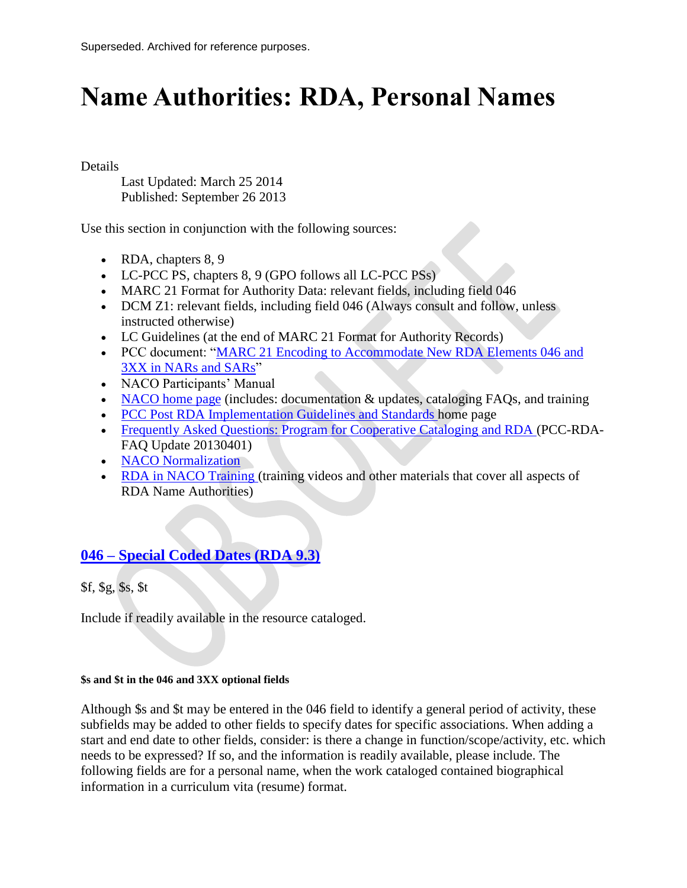# **Name Authorities: RDA, Personal Names**

Details

Last Updated: March 25 2014 Published: September 26 2013

Use this section in conjunction with the following sources:

- RDA, chapters 8, 9
- LC-PCC PS, chapters 8, 9 (GPO follows all LC-PCC PSs)
- MARC 21 Format for Authority Data: relevant fields, including field 046
- DCM Z1: relevant fields, including field 046 (Always consult and follow, unless instructed otherwise)
- LC Guidelines (at the end of MARC 21 Format for Authority Records)
- PCC document: "MARC 21 Encoding to Accommodate New RDA Elements 046 and [3XX in NARs and SARs"](http://www.loc.gov/aba/pcc/rda/PCC%20RDA%20guidelines/RDA%20in%20NARs-SARs_PCC.doc)
- NACO Participants' Manual
- [NACO home page](http://www.loc.gov/aba/pcc/naco/index.html) (includes: documentation & updates, cataloging FAQs, and training
- [PCC Post RDA Implementation Guidelines and Standards h](http://www.loc.gov/aba/pcc/rda/PCC%20RDA%20guidelines/Post-RDA-Implementation-Guidelines.html)ome page
- [Frequently Asked Questions: Program for Cooperative Cataloging and RDA \(](http://www.loc.gov/aba/pcc/rda/PCC-RDA-FAQ%20Update%2020130401.doc)PCC-RDA-FAQ Update 20130401)
- [NACO Normalization](http://www.loc.gov/aba/pcc/naco/Normalization.html)
- [RDA in NACO Training \(](http://www.loc.gov/catworkshop/courses/rda_naco/course%20table.html)training videos and other materials that cover all aspects of RDA Name Authorities)

# **046 – [Special Coded Dates \(RDA 9.3\)](http://www.fdlp.gov/catalogingandclassification/link-item/1761-name-authorities-rda-personal-names)**

\$f, \$g, \$s, \$t

Include if readily available in the resource cataloged.

#### **\$s and \$t in the 046 and 3XX optional fields**

Although \$s and \$t may be entered in the 046 field to identify a general period of activity, these subfields may be added to other fields to specify dates for specific associations. When adding a start and end date to other fields, consider: is there a change in function/scope/activity, etc. which needs to be expressed? If so, and the information is readily available, please include. The following fields are for a personal name, when the work cataloged contained biographical information in a curriculum vita (resume) format.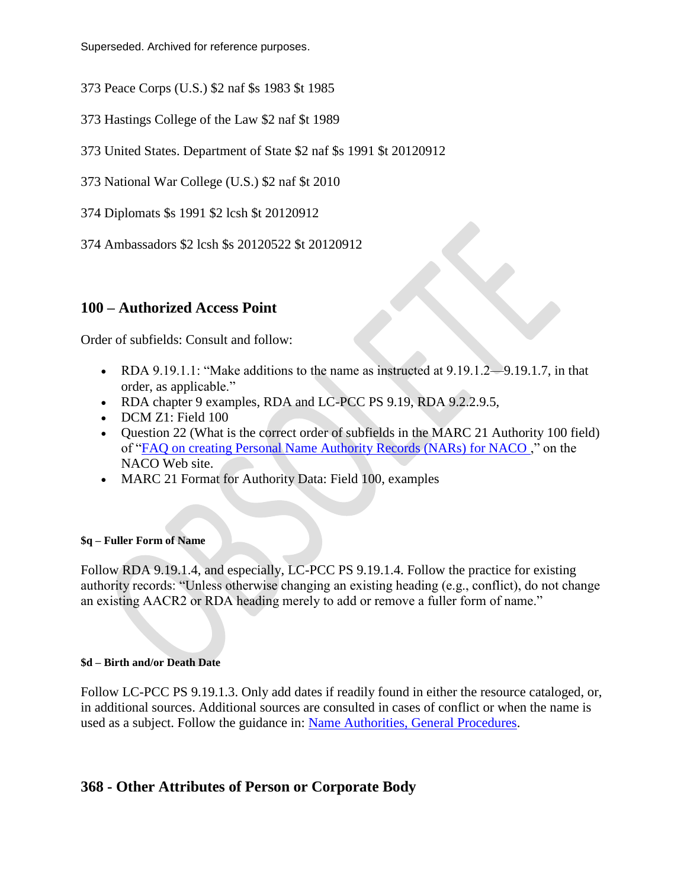Superseded. Archived for reference purposes.

- 373 Peace Corps (U.S.) \$2 naf \$s 1983 \$t 1985
- 373 Hastings College of the Law \$2 naf \$t 1989
- 373 United States. Department of State \$2 naf \$s 1991 \$t 20120912
- 373 National War College (U.S.) \$2 naf \$t 2010
- 374 Diplomats \$s 1991 \$2 lcsh \$t 20120912
- 374 Ambassadors \$2 lcsh \$s 20120522 \$t 20120912

# **100 – Authorized Access Point**

Order of subfields: Consult and follow:

- RDA 9.19.1.1: "Make additions to the name as instructed at  $9.19.1.2 9.19.1.7$ , in that order, as applicable."
- RDA chapter 9 examples, RDA and LC-PCC PS 9.19, RDA 9.2.2.9.5,
- DCM Z1: Field 100
- Question 22 (What is the correct order of subfields in the MARC 21 Authority 100 field) of ["FAQ on creating Personal Name Authority Records \(NARs\) for NACO ,](http://www.loc.gov/aba/pcc/naco/personnamefaq.html)" on the NACO Web site.
- MARC 21 Format for Authority Data: Field 100, examples

#### **\$q – Fuller Form of Name**

Follow RDA 9.19.1.4, and especially, LC-PCC PS 9.19.1.4. Follow the practice for existing authority records: "Unless otherwise changing an existing heading (e.g., conflict), do not change an existing AACR2 or RDA heading merely to add or remove a fuller form of name."

#### **\$d – Birth and/or Death Date**

Follow LC-PCC PS 9.19.1.3. Only add dates if readily found in either the resource cataloged, or, in additional sources. Additional sources are consulted in cases of conflict or when the name is used as a subject. Follow the guidance in: [Name Authorities, General Procedures.](http://www.fdlp.gov/2013-09-18-15-18-03/link-item/1797-name-authorities-general-procedures)

## **368 - Other Attributes of Person or Corporate Body**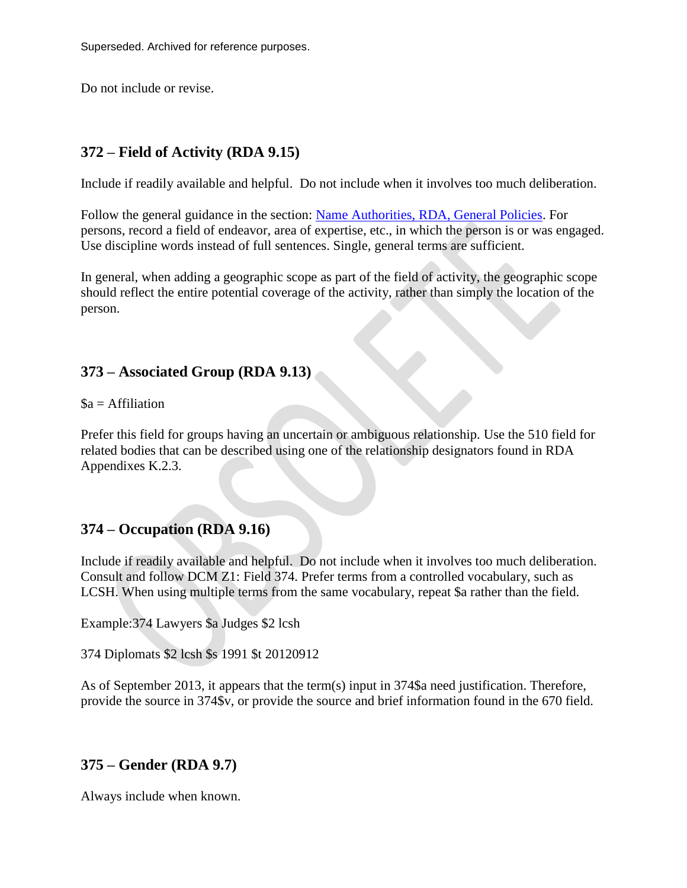Superseded. Archived for reference purposes.

Do not include or revise.

# **372 – Field of Activity (RDA 9.15)**

Include if readily available and helpful. Do not include when it involves too much deliberation.

Follow the general guidance in the section: [Name Authorities, RDA, General Policies.](http://www.fdlp.gov/2013-09-18-15-18-03/link-item/1759-name-authorities-rda-general-policies) For persons, record a field of endeavor, area of expertise, etc., in which the person is or was engaged. Use discipline words instead of full sentences. Single, general terms are sufficient.

In general, when adding a geographic scope as part of the field of activity, the geographic scope should reflect the entire potential coverage of the activity, rather than simply the location of the person.

## **373 – Associated Group (RDA 9.13)**

 $a = Affiliation$ 

Prefer this field for groups having an uncertain or ambiguous relationship. Use the 510 field for related bodies that can be described using one of the relationship designators found in RDA Appendixes K.2.3.

## **374 – Occupation (RDA 9.16)**

Include if readily available and helpful. Do not include when it involves too much deliberation. Consult and follow DCM Z1: Field 374. Prefer terms from a controlled vocabulary, such as LCSH. When using multiple terms from the same vocabulary, repeat \$a rather than the field.

Example:374 Lawyers \$a Judges \$2 lcsh

374 Diplomats \$2 lcsh \$s 1991 \$t 20120912

As of September 2013, it appears that the term(s) input in 374\$a need justification. Therefore, provide the source in 374\$v, or provide the source and brief information found in the 670 field.

#### **375 – Gender (RDA 9.7)**

Always include when known.